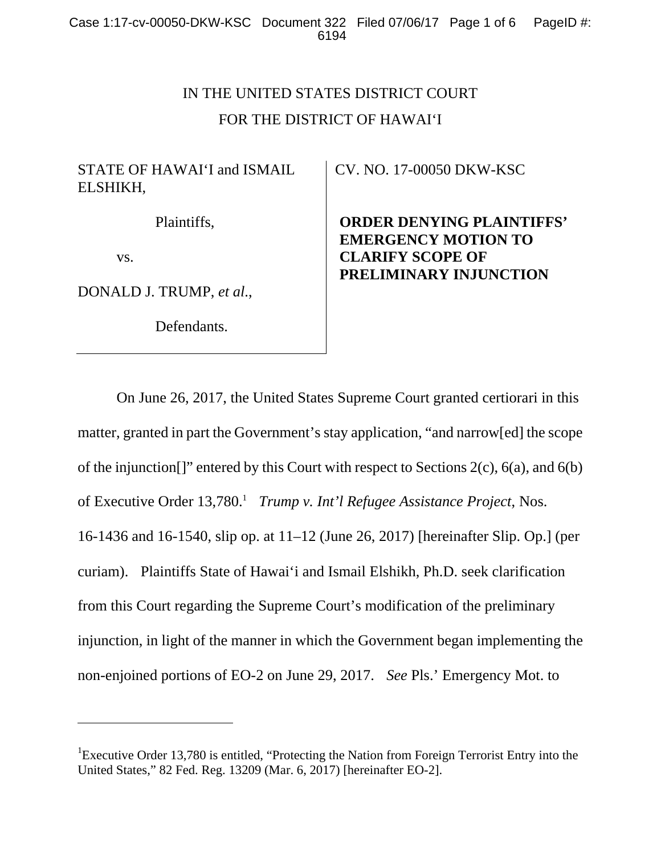# IN THE UNITED STATES DISTRICT COURT FOR THE DISTRICT OF HAWAI'I

## STATE OF HAWAI'I and ISMAIL ELSHIKH,

Plaintiffs,

vs.

l

DONALD J. TRUMP, *et al*.,

Defendants.

CV. NO. 17-00050 DKW-KSC

**ORDER DENYING PLAINTIFFS' EMERGENCY MOTION TO CLARIFY SCOPE OF PRELIMINARY INJUNCTION**

 On June 26, 2017, the United States Supreme Court granted certiorari in this matter, granted in part the Government's stay application, "and narrow[ed] the scope of the injunction[]" entered by this Court with respect to Sections 2(c), 6(a), and 6(b) of Executive Order 13,780.<sup>1</sup> Trump v. Int'l Refugee Assistance Project, Nos. 16-1436 and 16-1540, slip op. at 11–12 (June 26, 2017) [hereinafter Slip. Op.] (per curiam). Plaintiffs State of Hawai'i and Ismail Elshikh, Ph.D. seek clarification from this Court regarding the Supreme Court's modification of the preliminary injunction, in light of the manner in which the Government began implementing the non-enjoined portions of EO-2 on June 29, 2017. *See* Pls.' Emergency Mot. to

<sup>&</sup>lt;sup>1</sup>Executive Order 13,780 is entitled, "Protecting the Nation from Foreign Terrorist Entry into the United States," 82 Fed. Reg. 13209 (Mar. 6, 2017) [hereinafter EO-2].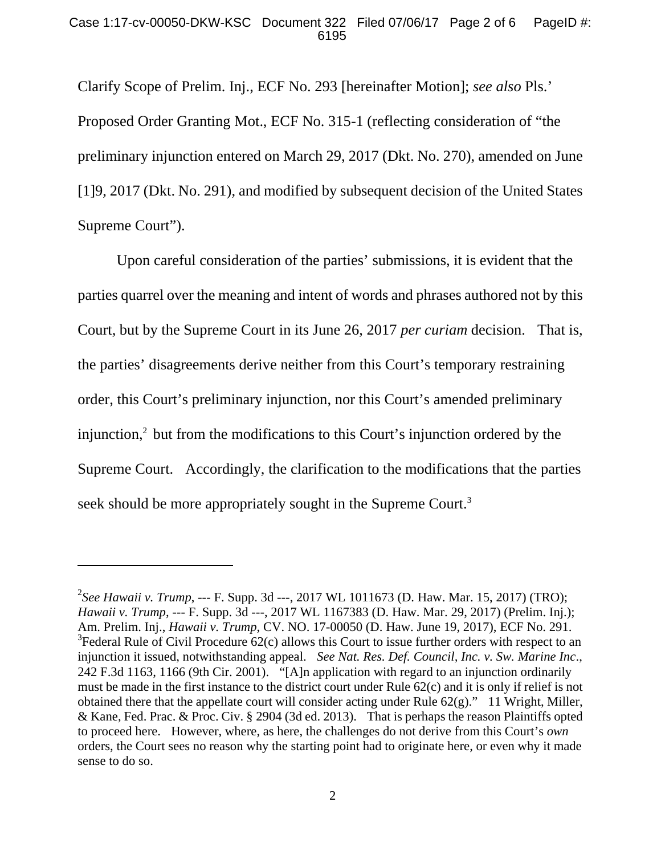Clarify Scope of Prelim. Inj., ECF No. 293 [hereinafter Motion]; *see also* Pls.' Proposed Order Granting Mot., ECF No. 315-1 (reflecting consideration of "the preliminary injunction entered on March 29, 2017 (Dkt. No. 270), amended on June [1]9, 2017 (Dkt. No. 291), and modified by subsequent decision of the United States Supreme Court").

 Upon careful consideration of the parties' submissions, it is evident that the parties quarrel over the meaning and intent of words and phrases authored not by this Court, but by the Supreme Court in its June 26, 2017 *per curiam* decision. That is, the parties' disagreements derive neither from this Court's temporary restraining order, this Court's preliminary injunction, nor this Court's amended preliminary injunction, $<sup>2</sup>$  but from the modifications to this Court's injunction ordered by the</sup> Supreme Court. Accordingly, the clarification to the modifications that the parties seek should be more appropriately sought in the Supreme Court.<sup>3</sup>

 $\overline{a}$ 

<sup>2</sup> *See Hawaii v. Trump*, --- F. Supp. 3d ---, 2017 WL 1011673 (D. Haw. Mar. 15, 2017) (TRO); *Hawaii v. Trump*, --- F. Supp. 3d ---, 2017 WL 1167383 (D. Haw. Mar. 29, 2017) (Prelim. Inj.); Am. Prelim. Inj., *Hawaii v. Trump*, CV. NO. 17-00050 (D. Haw. June 19, 2017), ECF No. 291.  $3$ Federal Rule of Civil Procedure 62(c) allows this Court to issue further orders with respect to an injunction it issued, notwithstanding appeal. *See Nat. Res. Def. Council, Inc. v. Sw. Marine Inc*., 242 F.3d 1163, 1166 (9th Cir. 2001). "[A]n application with regard to an injunction ordinarily must be made in the first instance to the district court under Rule 62(c) and it is only if relief is not obtained there that the appellate court will consider acting under Rule  $62(g)$ ." 11 Wright, Miller, & Kane, Fed. Prac. & Proc. Civ. § 2904 (3d ed. 2013). That is perhaps the reason Plaintiffs opted to proceed here. However, where, as here, the challenges do not derive from this Court's *own* orders, the Court sees no reason why the starting point had to originate here, or even why it made sense to do so.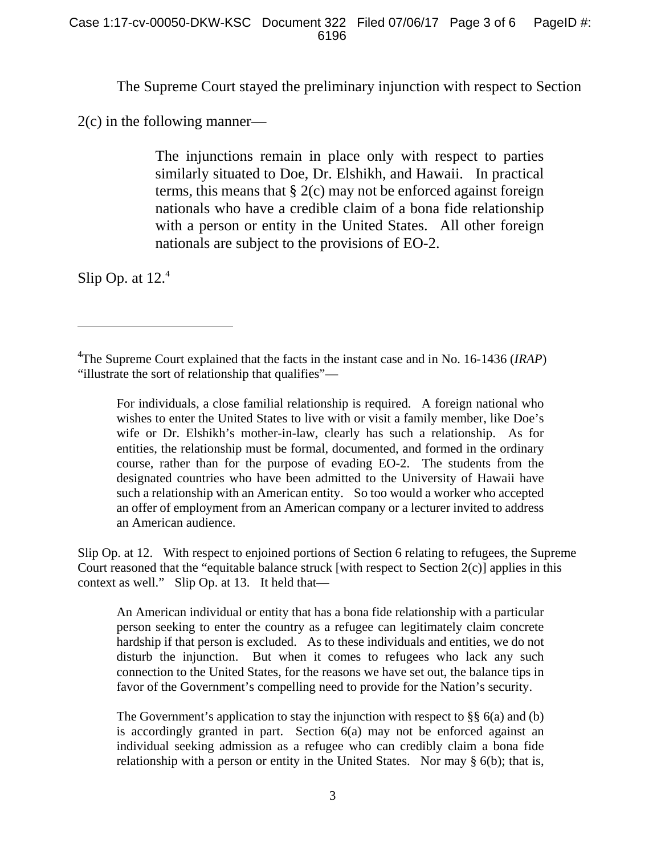The Supreme Court stayed the preliminary injunction with respect to Section

2(c) in the following manner—

The injunctions remain in place only with respect to parties similarly situated to Doe, Dr. Elshikh, and Hawaii. In practical terms, this means that  $\S 2(c)$  may not be enforced against foreign nationals who have a credible claim of a bona fide relationship with a person or entity in the United States. All other foreign nationals are subject to the provisions of EO-2.

Slip Op. at  $12<sup>4</sup>$ 

 $\overline{a}$ 

Slip Op. at 12. With respect to enjoined portions of Section 6 relating to refugees, the Supreme Court reasoned that the "equitable balance struck [with respect to Section 2(c)] applies in this context as well." Slip Op. at 13. It held that—

An American individual or entity that has a bona fide relationship with a particular person seeking to enter the country as a refugee can legitimately claim concrete hardship if that person is excluded. As to these individuals and entities, we do not disturb the injunction. But when it comes to refugees who lack any such connection to the United States, for the reasons we have set out, the balance tips in favor of the Government's compelling need to provide for the Nation's security.

The Government's application to stay the injunction with respect to  $\S$ § 6(a) and (b) is accordingly granted in part. Section 6(a) may not be enforced against an individual seeking admission as a refugee who can credibly claim a bona fide relationship with a person or entity in the United States. Nor may § 6(b); that is,

<sup>4</sup> The Supreme Court explained that the facts in the instant case and in No. 16-1436 (*IRAP*) "illustrate the sort of relationship that qualifies"—

For individuals, a close familial relationship is required. A foreign national who wishes to enter the United States to live with or visit a family member, like Doe's wife or Dr. Elshikh's mother-in-law, clearly has such a relationship. As for entities, the relationship must be formal, documented, and formed in the ordinary course, rather than for the purpose of evading EO-2. The students from the designated countries who have been admitted to the University of Hawaii have such a relationship with an American entity. So too would a worker who accepted an offer of employment from an American company or a lecturer invited to address an American audience.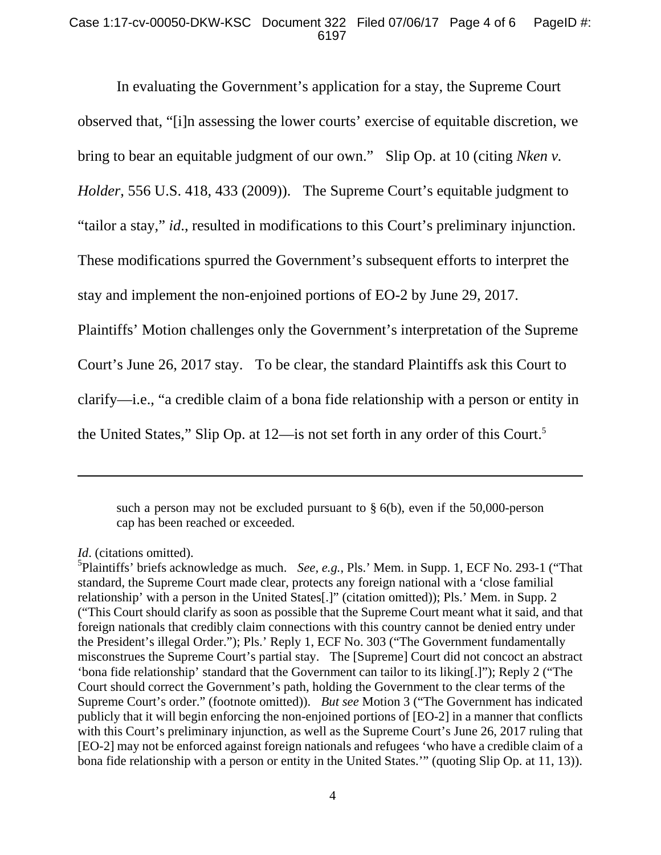### Case 1:17-cv-00050-DKW-KSC Document 322 Filed 07/06/17 Page 4 of 6 PageID #: 6197

 In evaluating the Government's application for a stay, the Supreme Court observed that, "[i]n assessing the lower courts' exercise of equitable discretion, we bring to bear an equitable judgment of our own." Slip Op. at 10 (citing *Nken v. Holder*, 556 U.S. 418, 433 (2009)). The Supreme Court's equitable judgment to "tailor a stay," *id*., resulted in modifications to this Court's preliminary injunction. These modifications spurred the Government's subsequent efforts to interpret the stay and implement the non-enjoined portions of EO-2 by June 29, 2017. Plaintiffs' Motion challenges only the Government's interpretation of the Supreme Court's June 26, 2017 stay. To be clear, the standard Plaintiffs ask this Court to clarify—i.e., "a credible claim of a bona fide relationship with a person or entity in the United States," Slip Op. at 12—is not set forth in any order of this Court.<sup>5</sup>

such a person may not be excluded pursuant to  $\S$  6(b), even if the 50,000-person cap has been reached or exceeded.

-

5 Plaintiffs' briefs acknowledge as much. *See, e.g.*, Pls.' Mem. in Supp. 1, ECF No. 293-1 ("That standard, the Supreme Court made clear, protects any foreign national with a 'close familial relationship' with a person in the United States[.]" (citation omitted)); Pls.' Mem. in Supp. 2 ("This Court should clarify as soon as possible that the Supreme Court meant what it said, and that foreign nationals that credibly claim connections with this country cannot be denied entry under the President's illegal Order."); Pls.' Reply 1, ECF No. 303 ("The Government fundamentally misconstrues the Supreme Court's partial stay. The [Supreme] Court did not concoct an abstract 'bona fide relationship' standard that the Government can tailor to its liking[.]"); Reply 2 ("The Court should correct the Government's path, holding the Government to the clear terms of the Supreme Court's order." (footnote omitted)). *But see* Motion 3 ("The Government has indicated publicly that it will begin enforcing the non-enjoined portions of [EO-2] in a manner that conflicts with this Court's preliminary injunction, as well as the Supreme Court's June 26, 2017 ruling that [EO-2] may not be enforced against foreign nationals and refugees 'who have a credible claim of a bona fide relationship with a person or entity in the United States.'" (quoting Slip Op. at 11, 13)).

*Id*. (citations omitted).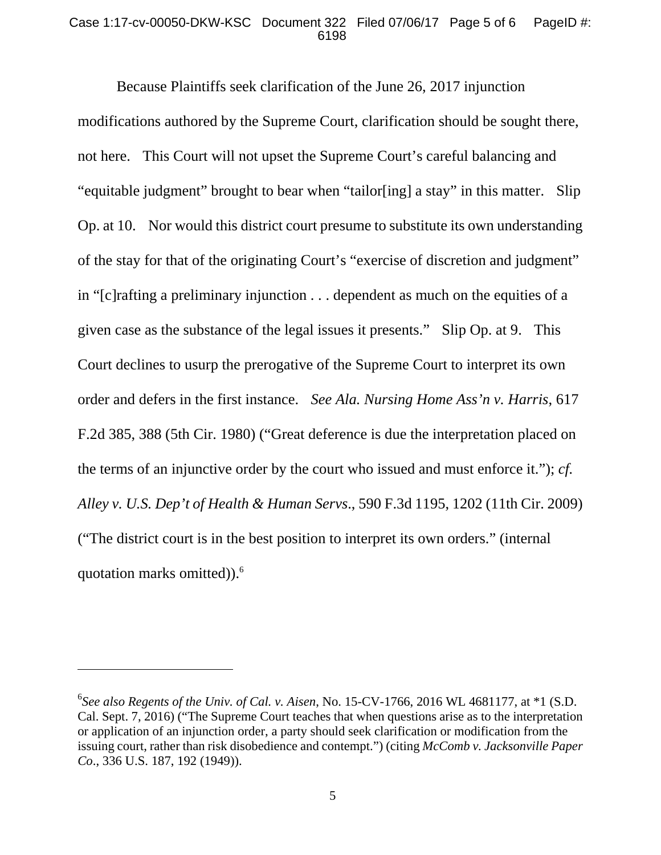#### Case 1:17-cv-00050-DKW-KSC Document 322 Filed 07/06/17 Page 5 of 6 PageID #: 6198

 Because Plaintiffs seek clarification of the June 26, 2017 injunction modifications authored by the Supreme Court, clarification should be sought there, not here. This Court will not upset the Supreme Court's careful balancing and "equitable judgment" brought to bear when "tailor[ing] a stay" in this matter. Slip Op. at 10. Nor would this district court presume to substitute its own understanding of the stay for that of the originating Court's "exercise of discretion and judgment" in "[c]rafting a preliminary injunction . . . dependent as much on the equities of a given case as the substance of the legal issues it presents." Slip Op. at 9. This Court declines to usurp the prerogative of the Supreme Court to interpret its own order and defers in the first instance. *See Ala. Nursing Home Ass'n v. Harris*, 617 F.2d 385, 388 (5th Cir. 1980) ("Great deference is due the interpretation placed on the terms of an injunctive order by the court who issued and must enforce it."); *cf. Alley v. U.S. Dep't of Health & Human Servs*., 590 F.3d 1195, 1202 (11th Cir. 2009) ("The district court is in the best position to interpret its own orders." (internal quotation marks omitted)).<sup>6</sup>

 $\overline{a}$ 

<sup>6</sup> *See also Regents of the Univ. of Cal. v. Aisen*, No. 15-CV-1766, 2016 WL 4681177, at \*1 (S.D. Cal. Sept. 7, 2016) ("The Supreme Court teaches that when questions arise as to the interpretation or application of an injunction order, a party should seek clarification or modification from the issuing court, rather than risk disobedience and contempt.") (citing *McComb v. Jacksonville Paper Co*., 336 U.S. 187, 192 (1949)).